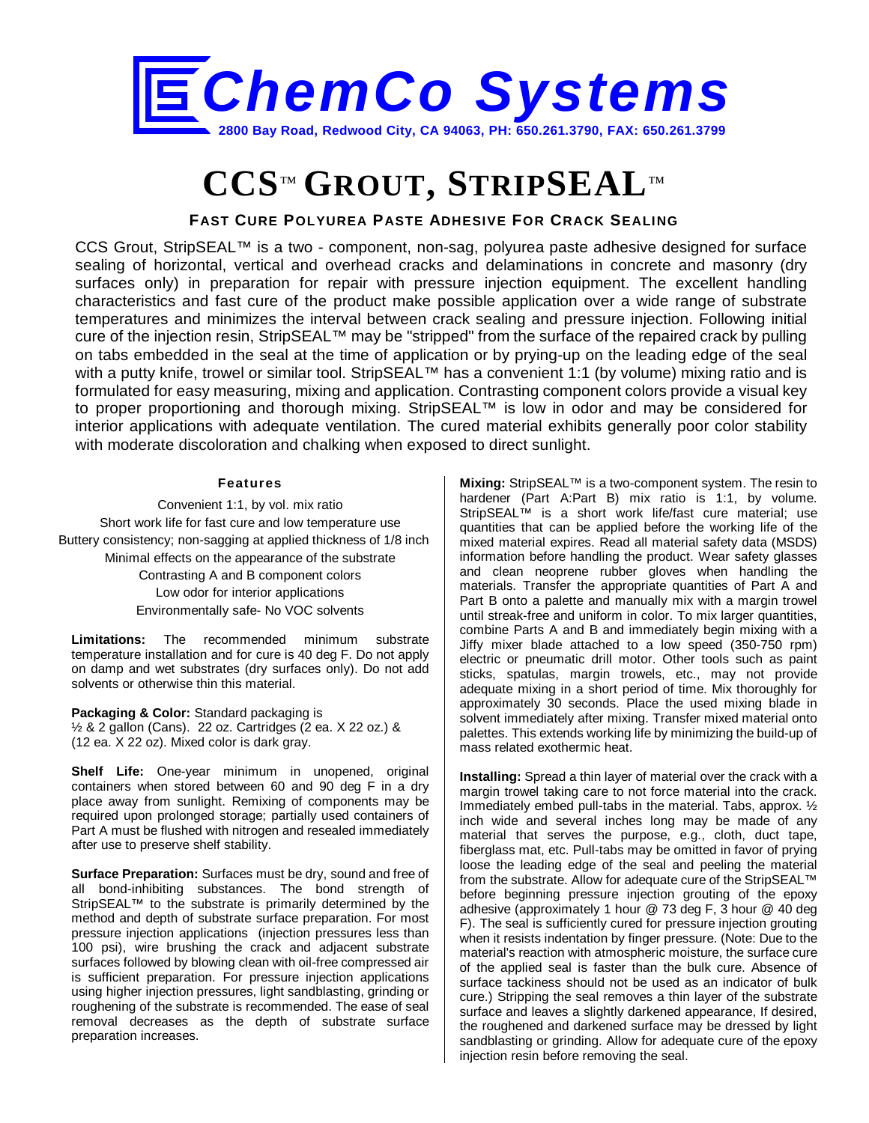

## **CCS**™ **GROUT, STRIPSEAL**™

## **FAST CURE POLYUREA PASTE ADHESIVE FOR CRACK SEALING**

CCS Grout, StripSEAL™ is a two - component, non-sag, polyurea paste adhesive designed for surface sealing of horizontal, vertical and overhead cracks and delaminations in concrete and masonry (dry surfaces only) in preparation for repair with pressure injection equipment. The excellent handling characteristics and fast cure of the product make possible application over a wide range of substrate temperatures and minimizes the interval between crack sealing and pressure injection. Following initial cure of the injection resin, StripSEAL™ may be "stripped" from the surface of the repaired crack by pulling on tabs embedded in the seal at the time of application or by prying-up on the leading edge of the seal with a putty knife, trowel or similar tool. StripSEAL<sup>™</sup> has a convenient 1:1 (by volume) mixing ratio and is formulated for easy measuring, mixing and application. Contrasting component colors provide a visual key to proper proportioning and thorough mixing. StripSEAL<sup>™</sup> is low in odor and may be considered for interior applications with adequate ventilation. The cured material exhibits generally poor color stability with moderate discoloration and chalking when exposed to direct sunlight.

## **Features**

Convenient 1:1, by vol. mix ratio Short work life for fast cure and low temperature use Buttery consistency; non-sagging at applied thickness of 1/8 inch Minimal effects on the appearance of the substrate Contrasting A and B component colors Low odor for interior applications Environmentally safe- No VOC solvents

**Limitations:** The recommended minimum substrate temperature installation and for cure is 40 deg F. Do not apply on damp and wet substrates (dry surfaces only). Do not add solvents or otherwise thin this material.

**Packaging & Color:** Standard packaging is ½ & 2 gallon (Cans). 22 oz. Cartridges (2 ea. X 22 oz.) & (12 ea. X 22 oz). Mixed color is dark gray.

**Shelf Life:** One-year minimum in unopened, original containers when stored between 60 and 90 deg F in a dry place away from sunlight. Remixing of components may be required upon prolonged storage; partially used containers of Part A must be flushed with nitrogen and resealed immediately after use to preserve shelf stability.

**Surface Preparation:** Surfaces must be dry, sound and free of all bond-inhibiting substances. The bond strength of StripSEAL™ to the substrate is primarily determined by the method and depth of substrate surface preparation. For most pressure injection applications (injection pressures less than 100 psi), wire brushing the crack and adjacent substrate surfaces followed by blowing clean with oil-free compressed air is sufficient preparation. For pressure injection applications using higher injection pressures, light sandblasting, grinding or roughening of the substrate is recommended. The ease of seal removal decreases as the depth of substrate surface preparation increases.

**Mixing:** StripSEAL™ is a two-component system. The resin to hardener (Part A:Part B) mix ratio is 1:1, by volume. StripSEAL™ is a short work life/fast cure material; use quantities that can be applied before the working life of the mixed material expires. Read all material safety data (MSDS) information before handling the product. Wear safety glasses and clean neoprene rubber gloves when handling the materials. Transfer the appropriate quantities of Part A and Part B onto a palette and manually mix with a margin trowel until streak-free and uniform in color. To mix larger quantities, combine Parts A and B and immediately begin mixing with a Jiffy mixer blade attached to a low speed (350-750 rpm) electric or pneumatic drill motor. Other tools such as paint sticks, spatulas, margin trowels, etc., may not provide adequate mixing in a short period of time. Mix thoroughly for approximately 30 seconds. Place the used mixing blade in solvent immediately after mixing. Transfer mixed material onto palettes. This extends working life by minimizing the build-up of mass related exothermic heat.

**Installing:** Spread a thin layer of material over the crack with a margin trowel taking care to not force material into the crack. Immediately embed pull-tabs in the material. Tabs, approx. ½ inch wide and several inches long may be made of any material that serves the purpose, e.g., cloth, duct tape, fiberglass mat, etc. Pull-tabs may be omitted in favor of prying loose the leading edge of the seal and peeling the material from the substrate. Allow for adequate cure of the StripSEAL™ before beginning pressure injection grouting of the epoxy adhesive (approximately 1 hour @ 73 deg F, 3 hour @ 40 deg F). The seal is sufficiently cured for pressure injection grouting when it resists indentation by finger pressure. (Note: Due to the material's reaction with atmospheric moisture, the surface cure of the applied seal is faster than the bulk cure. Absence of surface tackiness should not be used as an indicator of bulk cure.) Stripping the seal removes a thin layer of the substrate surface and leaves a slightly darkened appearance, If desired, the roughened and darkened surface may be dressed by light sandblasting or grinding. Allow for adequate cure of the epoxy injection resin before removing the seal.